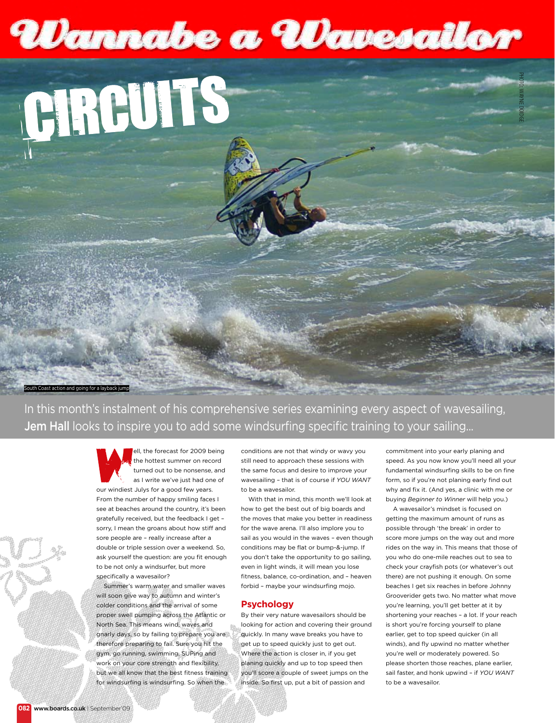# Wannabe a Wavesallor



In this month's instalment of his comprehensive series examining every aspect of wavesailing, Jem Hall looks to inspire you to add some windsurfing specific training to your sailing...



ell, the forecast for 2009 being the hottest summer on record turned out to be nonsense, and as I write we've just had one of our windiest Julys for a good few years.

From the number of happy smiling faces I see at beaches around the country, it's been gratefully received, but the feedback I get – sorry, I mean the groans about how stiff and sore people are – really increase after a double or triple session over a weekend. So, ask yourself the question: are you fit enough to be not only a windsurfer, but more specifically a wavesailor?

Summer's warm water and smaller waves will soon give way to autumn and winter's colder conditions and the arrival of some proper swell pumping across the Atlantic or North Sea. This means wind, waves and gnarly days, so by failing to prepare you are therefore preparing to fail. Sure you hit the gym, go running, swimming, SUPing and work on your core strength and flexibility, but we all know that the best fitness training for windsurfing is windsurfing. So when the

conditions are not that windy or wavy you still need to approach these sessions with the same focus and desire to improve your wavesailing – that is of course if *YOU WANT* to be a wavesailor.

With that in mind, this month we'll look at how to get the best out of big boards and the moves that make you better in readiness for the wave arena. I'll also implore you to sail as you would in the waves – even though conditions may be flat or bump-&-jump. If you don't take the opportunity to go sailing, even in light winds, it will mean you lose fitness, balance, co-ordination, and – heaven forbid – maybe your windsurfing mojo.

### **Psychology**

By their very nature wavesailors should be looking for action and covering their ground quickly. In many wave breaks you have to get up to speed quickly just to get out. Where the action is closer in, if you get planing quickly and up to top speed then you'll score a couple of sweet jumps on the inside. So first up, put a bit of passion and

commitment into your early planing and speed. As you now know you'll need all your fundamental windsurfing skills to be on fine form, so if you're not planing early find out why and fix it. (And yes, a clinic with me or buying *Beginner to Winner* will help you.)

Photo: Wayne Doidge

A wavesailor's mindset is focused on getting the maximum amount of runs as possible through 'the break' in order to score more jumps on the way out and more rides on the way in. This means that those of you who do one-mile reaches out to sea to check your crayfish pots (or whatever's out there) are not pushing it enough. On some beaches I get six reaches in before Johnny Grooverider gets two. No matter what move you're learning, you'll get better at it by shortening your reaches – a lot. If your reach is short you're forcing yourself to plane earlier, get to top speed quicker (in all winds), and fly upwind no matter whether you're well or moderately powered. So please shorten those reaches, plane earlier, sail faster, and honk upwind – if *YOU WANT* to be a wavesailor.

South Coast action and going for a layback jump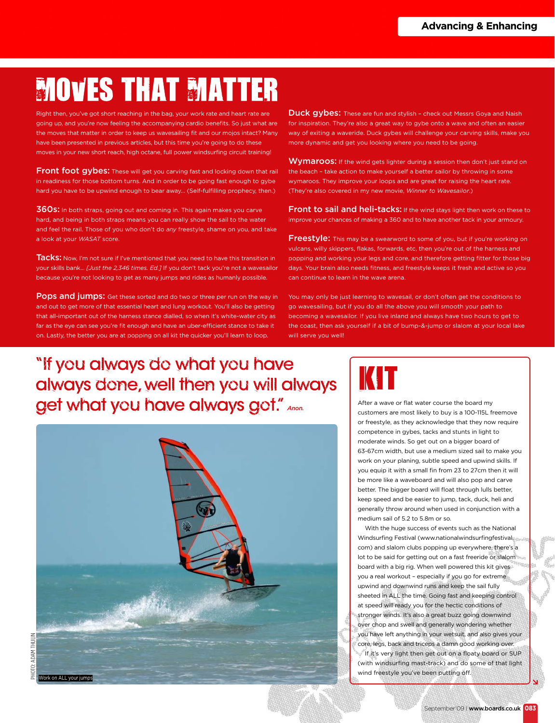# **MOVES THAT MATTER**

Right then, you've got short reaching in the bag, your work rate and heart rate a going up, and you're now feeling the accompanying cardio benefits. So just what are the moves that matter in order to keep us wavesailing fit and our mojos intact? Many have been presented in previous articles, but this time you're going to do these moves in your new short reach, high octane, full power windsurfing circuit training!

Front foot gybes: These will get you carving fast and locking down that rail in readiness for those bottom turns. And in order to be going fast enough to gybe hard you have to be upwind enough to bear away... (Self-fulfilling prophecy, then.)

360s: In both straps, going out and coming in. This again makes you carve hard, and being in both straps means you can really show the sail to the water and feel the rail. Those of you who don't do *any* freestyle, shame on you, and take a look at your *WASAT* score.

Tacks: Now, I'm not sure if I've mentioned that you need to have this transition in your skills bank... *[Just the 2,346 times. Ed.]* If you don't tack you're not a wavesailor because you're not looking to get as many jumps and rides as humanly possible.

**Pops and jumps:** Get these sorted and do two or three per run on the way in and out to get more of that essential heart and lung workout. You'll also be getting that all-important out of the harness stance dialled, so when it's white-water city as far as the eye can see you're fit enough and have an uber-efficient stance to take it on. Lastly, the better you are at popping on all kit the quicker you'll learn to loop.

Duck gybes: These are fun and stylish - check out Messrs Goya and Naish for inspiration. They're also a great way to gybe onto a wave and often an easier way of exiting a waveride. Duck gybes will challenge your carving skills, make you more dynamic and get you looking where you need to be going.

Wymaroos: If the wind gets lighter during a session then don't just stand on the beach – take action to make yourself a better sailor by throwing in some wymaroos. They improve your loops and are great for raising the heart rate. (They're also covered in my new movie, *Winner to Wavesailor*.)

Front to sail and heli-tacks: If the wind stays light then work on these to improve your chances of making a 360 and to have another tack in your armoury.

**Freestyle:** This may be a swearword to some of you, but if you're working on vulcans, willy skippers, flakas, forwards, etc, then you're out of the harness and popping and working your legs and core, and therefore getting fitter for those big days. Your brain also needs fitness, and freestyle keeps it fresh and active so you can continue to learn in the wave arena.

You may only be just learning to wavesail, or don't often get the conditions to go wavesailing, but if you do all the above you will smooth your path to becoming a wavesailor. If you live inland and always have two hours to get to the coast, then ask yourself if a bit of bump-&-jump or slalom at your local lake will serve you well!

### "If you always do what you have always done, well then you will always get what you have always got." Anon.



After a wave or flat water course the board my customers are most likely to buy is a 100-115L freemove or freestyle, as they acknowledge that they now require competence in gybes, tacks and stunts in light to moderate winds. So get out on a bigger board of 63-67cm width, but use a medium sized sail to make you work on your planing, subtle speed and upwind skills. If you equip it with a small fin from 23 to 27cm then it will be more like a waveboard and will also pop and carve better. The bigger board will float through lulls better, keep speed and be easier to jump, tack, duck, heli and generally throw around when used in conjunction with a medium sail of 5.2 to 5.8m or so.

With the huge success of events such as the National Windsurfing Festival (www.nationalwindsurfingfestival. com) and slalom clubs popping up everywhere, there's a lot to be said for getting out on a fast freeride or slalom board with a big rig. When well powered this kit gives you a real workout – especially if you go for extreme upwind and downwind runs and keep the sail fully sheeted in ALL the time. Going fast and keeping control at speed will ready you for the hectic conditions of stronger winds. It's also a great buzz going downwind over chop and swell and generally wondering whether you have left anything in your wetsuit, and also gives your core, legs, back and triceps a damn good working over. If it's very light then get out on a floaty board or SUP (with windsurfing mast-track) and do some of that light wind freestyle you've been putting off.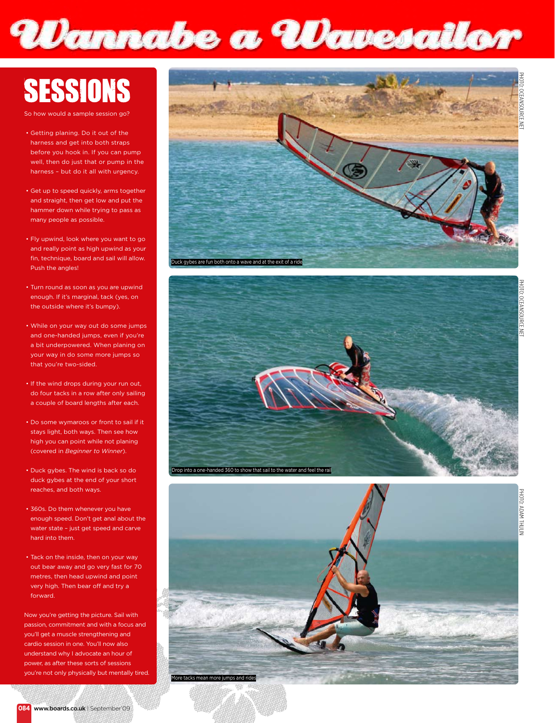# Wannabe a Wavesallor

# **SESSIONS**

So how would a sample session go

- Getting planing. Do it out of the harness and get into both straps before you hook in. If you can pump well, then do just that or pump in the harness – but do it all with urgency.
- Get up to speed quickly, arms together and straight, then get low and put the hammer down while trying to pass as many people as possible.
- Fly upwind, look where you want to go and really point as high upwind as your fin, technique, board and sail will allow. Push the angles!
- Turn round as soon as you are upwind enough. If it's marginal, tack (yes, on the outside where it's bumpy).
- While on your way out do some jumps and one-handed jumps, even if you're a bit underpowered. When planing on your way in do some more jumps so that you're two-sided.
- If the wind drops during your run out, do four tacks in a row after only sailing a couple of board lengths after each.
- Do some wymaroos or front to sail if it stays light, both ways. Then see how high you can point while not planing (covered in *Beginner to Winner*).
- Duck gybes. The wind is back so do duck gybes at the end of your short reaches, and both ways.
- 360s. Do them whenever you have enough speed. Don't get anal about the water state – just get speed and carve hard into them.
- Tack on the inside, then on your way out bear away and go very fast for 70 metres, then head upwind and point very high. Then bear off and try a forward.

Now you're getting the picture. Sail with passion, commitment and with a focus and you'll get a muscle strengthening and cardio session in one. You'll now also understand why I advocate an hour of power, as after these sorts of sessions you're not only physically but mentally tired.



Photo: Adam Thulin

HOTO: ADAM THULIN

Photo: Oceansource.net

HOIO: